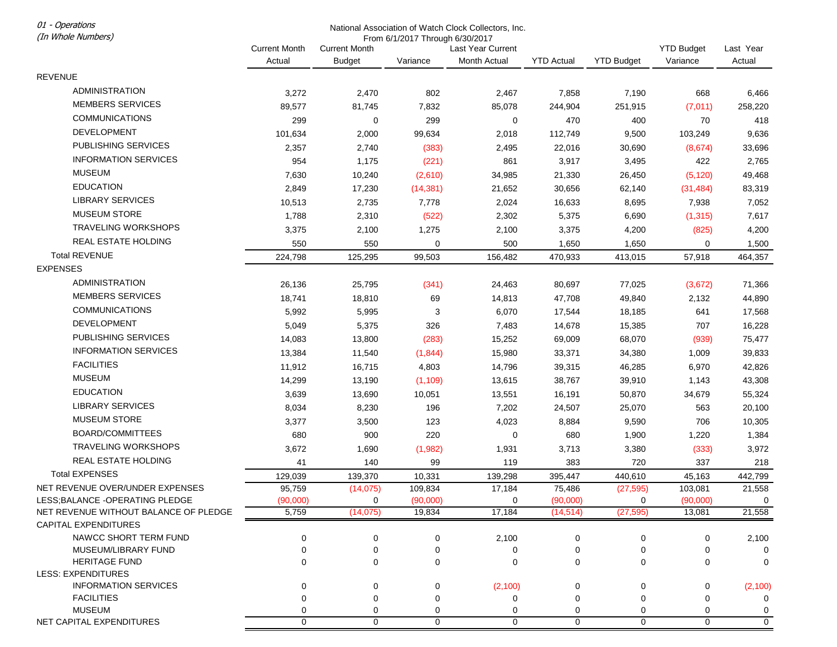01 - Operations

## National Association of Watch Clock Collectors, Inc. From 6/1/2017 Through 6/30/2017

| (In Whole Numbers)                    | From 6/1/2017 Through 6/30/2017 |                      |             |                   |                   |                   |                   |             |
|---------------------------------------|---------------------------------|----------------------|-------------|-------------------|-------------------|-------------------|-------------------|-------------|
|                                       | <b>Current Month</b>            | <b>Current Month</b> |             | Last Year Current |                   |                   | <b>YTD Budget</b> | Last Year   |
|                                       | Actual                          | <b>Budget</b>        | Variance    | Month Actual      | <b>YTD Actual</b> | <b>YTD Budget</b> | Variance          | Actual      |
| <b>REVENUE</b>                        |                                 |                      |             |                   |                   |                   |                   |             |
| <b>ADMINISTRATION</b>                 | 3,272                           | 2,470                | 802         | 2,467             | 7,858             | 7,190             | 668               | 6,466       |
| <b>MEMBERS SERVICES</b>               | 89,577                          | 81,745               | 7,832       | 85,078            | 244,904           | 251,915           | (7,011)           | 258,220     |
| <b>COMMUNICATIONS</b>                 | 299                             | 0                    | 299         | 0                 | 470               | 400               | 70                | 418         |
| DEVELOPMENT                           | 101,634                         | 2,000                | 99,634      | 2,018             | 112,749           | 9,500             | 103,249           | 9,636       |
| PUBLISHING SERVICES                   |                                 |                      |             |                   |                   |                   |                   |             |
| <b>INFORMATION SERVICES</b>           | 2,357                           | 2,740                | (383)       | 2,495             | 22,016            | 30,690            | (8,674)           | 33,696      |
| <b>MUSEUM</b>                         | 954                             | 1,175                | (221)       | 861               | 3,917             | 3,495             | 422               | 2,765       |
| <b>EDUCATION</b>                      | 7,630                           | 10,240               | (2,610)     | 34,985            | 21,330            | 26,450            | (5, 120)          | 49,468      |
|                                       | 2,849                           | 17,230               | (14, 381)   | 21,652            | 30,656            | 62,140            | (31, 484)         | 83,319      |
| <b>LIBRARY SERVICES</b>               | 10,513                          | 2,735                | 7,778       | 2,024             | 16,633            | 8,695             | 7,938             | 7,052       |
| <b>MUSEUM STORE</b>                   | 1,788                           | 2,310                | (522)       | 2,302             | 5,375             | 6,690             | (1, 315)          | 7,617       |
| <b>TRAVELING WORKSHOPS</b>            | 3,375                           | 2,100                | 1,275       | 2,100             | 3,375             | 4,200             | (825)             | 4,200       |
| REAL ESTATE HOLDING                   | 550                             | 550                  | 0           | 500               | 1,650             | 1,650             | 0                 | 1,500       |
| <b>Total REVENUE</b>                  | 224,798                         | 125,295              | 99,503      | 156,482           | 470,933           | 413,015           | 57,918            | 464,357     |
| <b>EXPENSES</b>                       |                                 |                      |             |                   |                   |                   |                   |             |
| ADMINISTRATION                        | 26,136                          | 25,795               | (341)       | 24,463            | 80,697            | 77,025            | (3,672)           | 71,366      |
| <b>MEMBERS SERVICES</b>               | 18,741                          | 18,810               | 69          | 14,813            | 47,708            | 49,840            | 2,132             | 44,890      |
| <b>COMMUNICATIONS</b>                 | 5,992                           | 5,995                | 3           | 6,070             | 17,544            | 18,185            | 641               | 17,568      |
| <b>DEVELOPMENT</b>                    | 5,049                           | 5,375                | 326         | 7,483             | 14,678            | 15,385            | 707               | 16,228      |
| PUBLISHING SERVICES                   | 14,083                          | 13,800               | (283)       | 15,252            | 69,009            | 68,070            | (939)             | 75,477      |
| <b>INFORMATION SERVICES</b>           | 13,384                          | 11,540               | (1,844)     | 15,980            | 33,371            | 34,380            | 1,009             | 39,833      |
| <b>FACILITIES</b>                     | 11,912                          | 16,715               | 4,803       | 14,796            | 39,315            | 46,285            | 6,970             | 42,826      |
| <b>MUSEUM</b>                         | 14,299                          | 13,190               | (1, 109)    | 13,615            | 38,767            | 39,910            | 1,143             | 43,308      |
| <b>EDUCATION</b>                      | 3,639                           | 13,690               | 10,051      | 13,551            | 16,191            | 50,870            | 34,679            | 55,324      |
| LIBRARY SERVICES                      | 8,034                           | 8,230                | 196         | 7,202             | 24,507            | 25,070            | 563               | 20,100      |
| <b>MUSEUM STORE</b>                   | 3,377                           | 3,500                | 123         | 4,023             | 8,884             | 9,590             | 706               | 10,305      |
| BOARD/COMMITTEES                      | 680                             | 900                  | 220         | 0                 | 680               | 1,900             | 1,220             | 1,384       |
| <b>TRAVELING WORKSHOPS</b>            | 3,672                           | 1,690                | (1,982)     | 1,931             | 3,713             | 3,380             | (333)             | 3,972       |
| REAL ESTATE HOLDING                   | 41                              | 140                  | 99          | 119               | 383               | 720               | 337               | 218         |
| <b>Total EXPENSES</b>                 | 129,039                         |                      | 10,331      | 139,298           | 395,447           | 440,610           | 45,163            | 442,799     |
| NET REVENUE OVER/UNDER EXPENSES       | 95,759                          | 139,370<br>(14, 075) | 109,834     | 17,184            | 75,486            | (27, 595)         | 103,081           | 21,558      |
| LESS; BALANCE - OPERATING PLEDGE      | (90,000)                        | 0                    | (90,000)    | 0                 | (90,000)          | 0                 | (90,000)          | 0           |
| NET REVENUE WITHOUT BALANCE OF PLEDGE | 5,759                           | (14, 075)            | 19,834      | 17,184            | (14, 514)         | (27, 595)         | 13,081            | 21,558      |
| <b>CAPITAL EXPENDITURES</b>           |                                 |                      |             |                   |                   |                   |                   |             |
| NAWCC SHORT TERM FUND                 | 0                               | 0                    | $\mathbf 0$ | 2,100             | 0                 | 0                 | 0                 | 2,100       |
| MUSEUM/LIBRARY FUND                   | 0                               | 0                    | 0           | 0                 | 0                 | 0                 | 0                 | $\mathbf 0$ |
| <b>HERITAGE FUND</b>                  | 0                               | 0                    | 0           | $\mathbf 0$       | 0                 | $\mathbf 0$       | 0                 | 0           |
| <b>LESS: EXPENDITURES</b>             |                                 |                      |             |                   |                   |                   |                   |             |
| <b>INFORMATION SERVICES</b>           | 0                               | 0                    | 0           | (2,100)           | 0                 | 0                 | 0                 | (2, 100)    |
| <b>FACILITIES</b>                     | 0                               | 0                    | 0           | 0                 | $\Omega$          | 0                 | 0                 | 0           |
| <b>MUSEUM</b>                         | 0                               | 0                    | 0           | 0                 | 0                 | 0                 | 0                 | 0           |
| NET CAPITAL EXPENDITURES              | $\mathbf 0$                     | $\mathbf 0$          | $\mathbf 0$ | $\mathbf 0$       | $\mathbf 0$       | $\mathbf 0$       | $\mathbf 0$       | $\mathbf 0$ |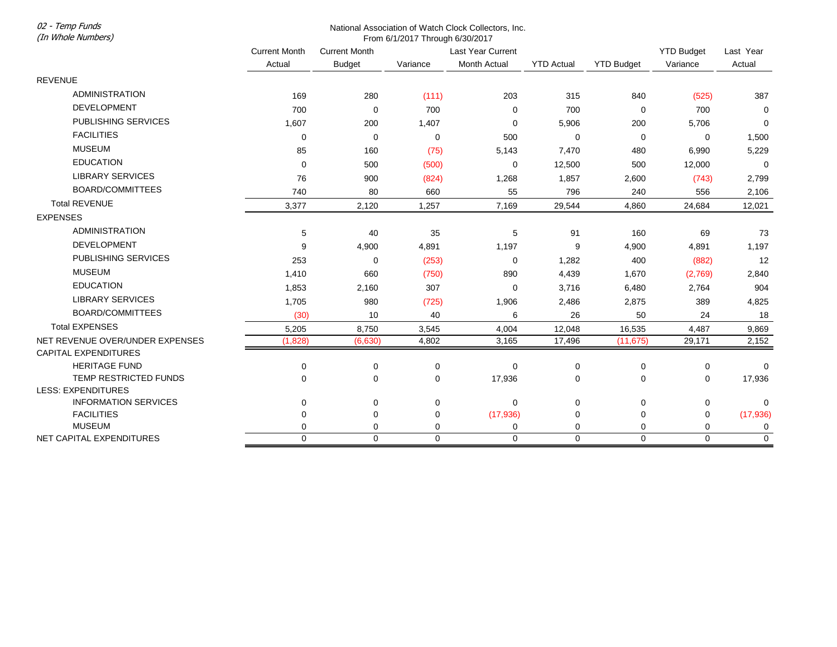02 - Temp Funds

## National Association of Watch Clock Collectors, Inc. From 6/1/2017 Through 6/30/2017

| (In Whole Numbers)              | From 6/1/2017 Through 6/30/2017 |                      |             |                          |                   |                   |                               |                     |
|---------------------------------|---------------------------------|----------------------|-------------|--------------------------|-------------------|-------------------|-------------------------------|---------------------|
|                                 | <b>Current Month</b>            | <b>Current Month</b> |             | <b>Last Year Current</b> | <b>YTD Actual</b> | <b>YTD Budget</b> | <b>YTD Budget</b><br>Variance | Last Year<br>Actual |
|                                 | Actual                          | <b>Budget</b>        | Variance    | <b>Month Actual</b>      |                   |                   |                               |                     |
| <b>REVENUE</b>                  |                                 |                      |             |                          |                   |                   |                               |                     |
| <b>ADMINISTRATION</b>           | 169                             | 280                  | (111)       | 203                      | 315               | 840               | (525)                         | 387                 |
| <b>DEVELOPMENT</b>              | 700                             | 0                    | 700         | 0                        | 700               | 0                 | 700                           | $\mathbf 0$         |
| PUBLISHING SERVICES             | 1,607                           | 200                  | 1,407       | $\Omega$                 | 5,906             | 200               | 5,706                         | $\mathbf 0$         |
| <b>FACILITIES</b>               | 0                               | $\mathbf 0$          | $\mathbf 0$ | 500                      | $\mathbf 0$       | $\mathbf 0$       | 0                             | 1,500               |
| <b>MUSEUM</b>                   | 85                              | 160                  | (75)        | 5,143                    | 7,470             | 480               | 6,990                         | 5,229               |
| <b>EDUCATION</b>                | 0                               | 500                  | (500)       | 0                        | 12,500            | 500               | 12,000                        | 0                   |
| <b>LIBRARY SERVICES</b>         | 76                              | 900                  | (824)       | 1,268                    | 1,857             | 2,600             | (743)                         | 2,799               |
| <b>BOARD/COMMITTEES</b>         | 740                             | 80                   | 660         | 55                       | 796               | 240               | 556                           | 2,106               |
| <b>Total REVENUE</b>            | 3,377                           | 2,120                | 1,257       | 7,169                    | 29,544            | 4,860             | 24,684                        | 12,021              |
| <b>EXPENSES</b>                 |                                 |                      |             |                          |                   |                   |                               |                     |
| <b>ADMINISTRATION</b>           | 5                               | 40                   | 35          | 5                        | 91                | 160               | 69                            | 73                  |
| <b>DEVELOPMENT</b>              | 9                               | 4,900                | 4,891       | 1,197                    | 9                 | 4,900             | 4,891                         | 1,197               |
| PUBLISHING SERVICES             | 253                             | $\mathbf 0$          | (253)       | $\mathbf 0$              | 1,282             | 400               | (882)                         | 12                  |
| <b>MUSEUM</b>                   | 1,410                           | 660                  | (750)       | 890                      | 4,439             | 1,670             | (2,769)                       | 2,840               |
| <b>EDUCATION</b>                | 1,853                           | 2,160                | 307         | 0                        | 3,716             | 6,480             | 2,764                         | 904                 |
| <b>LIBRARY SERVICES</b>         | 1,705                           | 980                  | (725)       | 1,906                    | 2,486             | 2,875             | 389                           | 4,825               |
| BOARD/COMMITTEES                | (30)                            | 10                   | 40          | 6                        | 26                | 50                | 24                            | 18                  |
| <b>Total EXPENSES</b>           | 5,205                           | 8,750                | 3,545       | 4,004                    | 12,048            | 16,535            | 4,487                         | 9,869               |
| NET REVENUE OVER/UNDER EXPENSES | (1,828)                         | (6,630)              | 4,802       | 3,165                    | 17,496            | (11, 675)         | 29,171                        | 2,152               |
| <b>CAPITAL EXPENDITURES</b>     |                                 |                      |             |                          |                   |                   |                               |                     |
| <b>HERITAGE FUND</b>            | 0                               | 0                    | 0           | $\mathbf 0$              | 0                 | $\pmb{0}$         | 0                             | 0                   |
| TEMP RESTRICTED FUNDS           | $\Omega$                        | 0                    | $\Omega$    | 17,936                   | $\Omega$          | 0                 | 0                             | 17,936              |
| <b>LESS: EXPENDITURES</b>       |                                 |                      |             |                          |                   |                   |                               |                     |
| <b>INFORMATION SERVICES</b>     | $\Omega$                        | 0                    | $\mathbf 0$ | $\Omega$                 | $\Omega$          | 0                 | 0                             | 0                   |
| <b>FACILITIES</b>               | $\Omega$                        | 0                    | 0           | (17, 936)                | 0                 | 0                 | 0                             | (17, 936)           |
| <b>MUSEUM</b>                   | 0                               | 0                    | 0           | 0                        | 0                 | 0                 | 0                             | 0                   |
| NET CAPITAL EXPENDITURES        | $\mathbf 0$                     | $\mathbf 0$          | $\mathbf 0$ | $\mathbf 0$              | $\mathbf 0$       | $\mathbf 0$       | 0                             | $\mathbf 0$         |